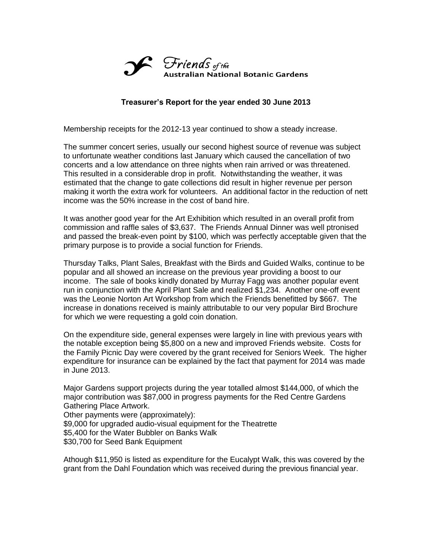

## **Treasurer's Report for the year ended 30 June 2013**

Membership receipts for the 2012-13 year continued to show a steady increase.

The summer concert series, usually our second highest source of revenue was subject to unfortunate weather conditions last January which caused the cancellation of two concerts and a low attendance on three nights when rain arrived or was threatened. This resulted in a considerable drop in profit. Notwithstanding the weather, it was estimated that the change to gate collections did result in higher revenue per person making it worth the extra work for volunteers. An additional factor in the reduction of nett income was the 50% increase in the cost of band hire.

It was another good year for the Art Exhibition which resulted in an overall profit from commission and raffle sales of \$3,637. The Friends Annual Dinner was well ptronised and passed the break-even point by \$100, which was perfectly acceptable given that the primary purpose is to provide a social function for Friends.

Thursday Talks, Plant Sales, Breakfast with the Birds and Guided Walks, continue to be popular and all showed an increase on the previous year providing a boost to our income. The sale of books kindly donated by Murray Fagg was another popular event run in conjunction with the April Plant Sale and realized \$1,234. Another one-off event was the Leonie Norton Art Workshop from which the Friends benefitted by \$667. The increase in donations received is mainly attributable to our very popular Bird Brochure for which we were requesting a gold coin donation.

On the expenditure side, general expenses were largely in line with previous years with the notable exception being \$5,800 on a new and improved Friends website. Costs for the Family Picnic Day were covered by the grant received for Seniors Week. The higher expenditure for insurance can be explained by the fact that payment for 2014 was made in June 2013.

Major Gardens support projects during the year totalled almost \$144,000, of which the major contribution was \$87,000 in progress payments for the Red Centre Gardens Gathering Place Artwork. Other payments were (approximately): \$9,000 for upgraded audio-visual equipment for the Theatrette \$5,400 for the Water Bubbler on Banks Walk

\$30,700 for Seed Bank Equipment

Athough \$11,950 is listed as expenditure for the Eucalypt Walk, this was covered by the grant from the Dahl Foundation which was received during the previous financial year.